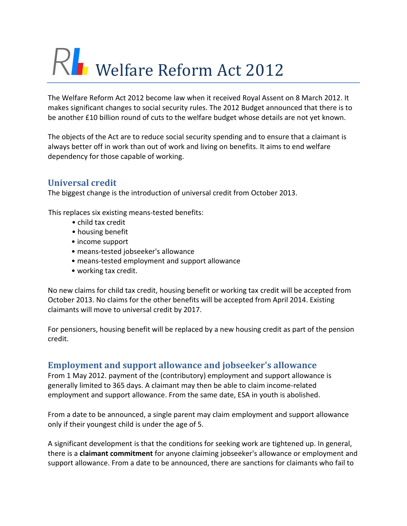# RI Welfare Reform Act 2012

The Welfare Reform Act 2012 become law when it received Royal Assent on 8 March 2012. It makes significant changes to social security rules. The 2012 Budget announced that there is to be another £10 billion round of cuts to the welfare budget whose details are not yet known.

The objects of the Act are to reduce social security spending and to ensure that a claimant is always better off in work than out of work and living on benefits. It aims to end welfare dependency for those capable of working.

# **Universal credit**

The biggest change is the introduction of universal credit from October 2013.

This replaces six existing means-tested benefits:

- child tax credit
- housing benefit
- income support
- means-tested jobseeker's allowance
- means-tested employment and support allowance
- working tax credit.

No new claims for child tax credit, housing benefit or working tax credit will be accepted from October 2013. No claims for the other benefits will be accepted from April 2014. Existing claimants will move to universal credit by 2017.

For pensioners, housing benefit will be replaced by a new housing credit as part of the pension credit.

## **Employment and support allowance and jobseeker's allowance**

From 1 May 2012. payment of the (contributory) employment and support allowance is generally limited to 365 days. A claimant may then be able to claim income-related employment and support allowance. From the same date, ESA in youth is abolished.

From a date to be announced, a single parent may claim employment and support allowance only if their youngest child is under the age of 5.

A significant development is that the conditions for seeking work are tightened up. In general, there is a **claimant commitment** for anyone claiming jobseeker's allowance or employment and support allowance. From a date to be announced, there are sanctions for claimants who fail to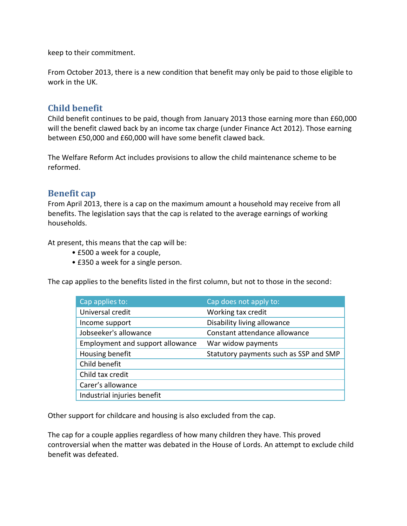keep to their commitment.

From October 2013, there is a new condition that benefit may only be paid to those eligible to work in the UK.

## **Child benefit**

Child benefit continues to be paid, though from January 2013 those earning more than £60,000 will the benefit clawed back by an income tax charge (under Finance Act 2012). Those earning between £50,000 and £60,000 will have some benefit clawed back.

The Welfare Reform Act includes provisions to allow the child maintenance scheme to be reformed.

#### **Benefit cap**

From April 2013, there is a cap on the maximum amount a household may receive from all benefits. The legislation says that the cap is related to the average earnings of working households.

At present, this means that the cap will be:

- £500 a week for a couple,
- £350 a week for a single person.

The cap applies to the benefits listed in the first column, but not to those in the second:

| Cap applies to:                  | Cap does not apply to:                 |
|----------------------------------|----------------------------------------|
| Universal credit                 | Working tax credit                     |
| Income support                   | Disability living allowance            |
| Jobseeker's allowance            | Constant attendance allowance          |
| Employment and support allowance | War widow payments                     |
| Housing benefit                  | Statutory payments such as SSP and SMP |
| Child benefit                    |                                        |
| Child tax credit                 |                                        |
| Carer's allowance                |                                        |
| Industrial injuries benefit      |                                        |

Other support for childcare and housing is also excluded from the cap.

The cap for a couple applies regardless of how many children they have. This proved controversial when the matter was debated in the House of Lords. An attempt to exclude child benefit was defeated.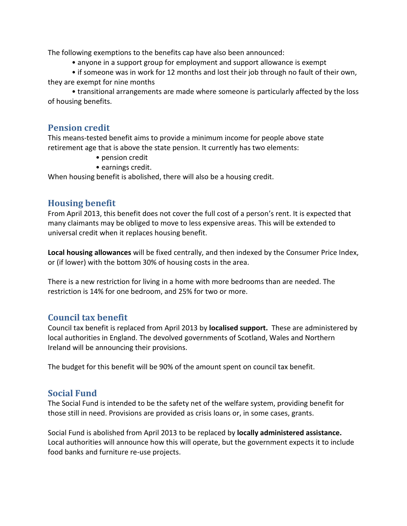The following exemptions to the benefits cap have also been announced:

• anyone in a support group for employment and support allowance is exempt

• if someone was in work for 12 months and lost their job through no fault of their own, they are exempt for nine months

• transitional arrangements are made where someone is particularly affected by the loss of housing benefits.

#### **Pension credit**

This means-tested benefit aims to provide a minimum income for people above state retirement age that is above the state pension. It currently has two elements:

- pension credit
- earnings credit.

When housing benefit is abolished, there will also be a housing credit.

## **Housing benefit**

From April 2013, this benefit does not cover the full cost of a person's rent. It is expected that many claimants may be obliged to move to less expensive areas. This will be extended to universal credit when it replaces housing benefit.

**Local housing allowances** will be fixed centrally, and then indexed by the Consumer Price Index, or (if lower) with the bottom 30% of housing costs in the area.

There is a new restriction for living in a home with more bedrooms than are needed. The restriction is 14% for one bedroom, and 25% for two or more.

## **Council tax benefit**

Council tax benefit is replaced from April 2013 by **localised support.** These are administered by local authorities in England. The devolved governments of Scotland, Wales and Northern Ireland will be announcing their provisions.

The budget for this benefit will be 90% of the amount spent on council tax benefit.

## **Social Fund**

The Social Fund is intended to be the safety net of the welfare system, providing benefit for those still in need. Provisions are provided as crisis loans or, in some cases, grants.

Social Fund is abolished from April 2013 to be replaced by **locally administered assistance.**  Local authorities will announce how this will operate, but the government expects it to include food banks and furniture re-use projects.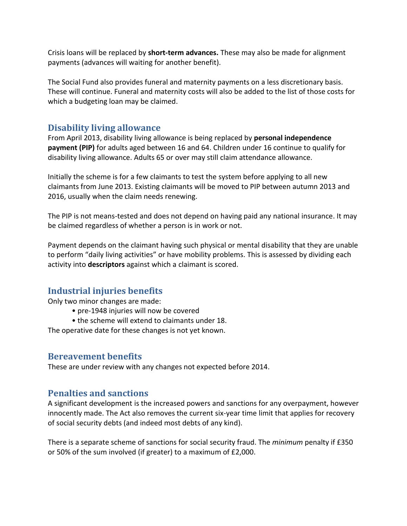Crisis loans will be replaced by **short-term advances.** These may also be made for alignment payments (advances will waiting for another benefit).

The Social Fund also provides funeral and maternity payments on a less discretionary basis. These will continue. Funeral and maternity costs will also be added to the list of those costs for which a budgeting loan may be claimed.

## **Disability living allowance**

From April 2013, disability living allowance is being replaced by **personal independence payment (PIP)** for adults aged between 16 and 64. Children under 16 continue to qualify for disability living allowance. Adults 65 or over may still claim attendance allowance.

Initially the scheme is for a few claimants to test the system before applying to all new claimants from June 2013. Existing claimants will be moved to PIP between autumn 2013 and 2016, usually when the claim needs renewing.

The PIP is not means-tested and does not depend on having paid any national insurance. It may be claimed regardless of whether a person is in work or not.

Payment depends on the claimant having such physical or mental disability that they are unable to perform "daily living activities" or have mobility problems. This is assessed by dividing each activity into **descriptors** against which a claimant is scored.

# **Industrial injuries benefits**

Only two minor changes are made:

- pre-1948 injuries will now be covered
- the scheme will extend to claimants under 18.

The operative date for these changes is not yet known.

#### **Bereavement benefits**

These are under review with any changes not expected before 2014.

## **Penalties and sanctions**

A significant development is the increased powers and sanctions for any overpayment, however innocently made. The Act also removes the current six-year time limit that applies for recovery of social security debts (and indeed most debts of any kind).

There is a separate scheme of sanctions for social security fraud. The *minimum* penalty if £350 or 50% of the sum involved (if greater) to a maximum of £2,000.